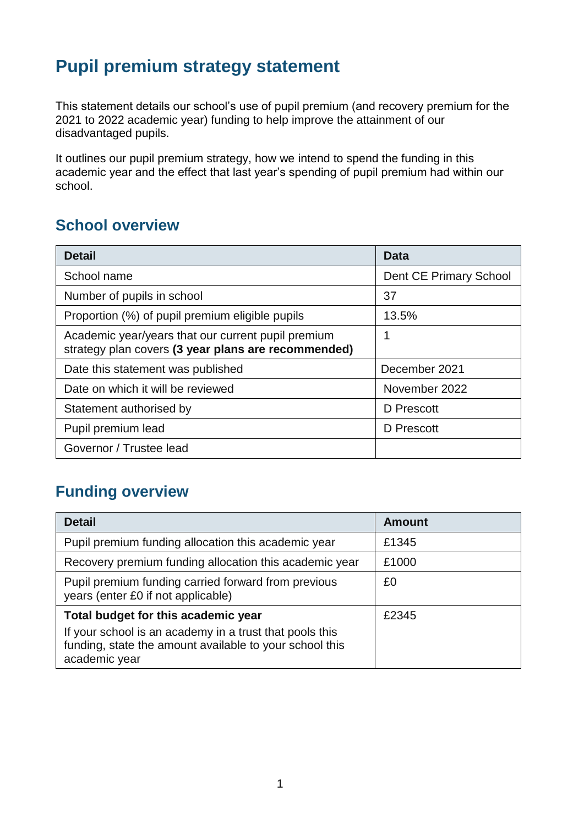## **Pupil premium strategy statement**

This statement details our school's use of pupil premium (and recovery premium for the 2021 to 2022 academic year) funding to help improve the attainment of our disadvantaged pupils.

It outlines our pupil premium strategy, how we intend to spend the funding in this academic year and the effect that last year's spending of pupil premium had within our school.

#### **School overview**

| <b>Detail</b>                                                                                             | Data                   |
|-----------------------------------------------------------------------------------------------------------|------------------------|
| School name                                                                                               | Dent CE Primary School |
| Number of pupils in school                                                                                | 37                     |
| Proportion (%) of pupil premium eligible pupils                                                           | 13.5%                  |
| Academic year/years that our current pupil premium<br>strategy plan covers (3 year plans are recommended) | 1                      |
| Date this statement was published                                                                         | December 2021          |
| Date on which it will be reviewed                                                                         | November 2022          |
| Statement authorised by                                                                                   | D Prescott             |
| Pupil premium lead                                                                                        | D Prescott             |
| Governor / Trustee lead                                                                                   |                        |

## **Funding overview**

| <b>Detail</b>                                                                                                                       | <b>Amount</b> |
|-------------------------------------------------------------------------------------------------------------------------------------|---------------|
| Pupil premium funding allocation this academic year                                                                                 | £1345         |
| Recovery premium funding allocation this academic year                                                                              | £1000         |
| Pupil premium funding carried forward from previous<br>years (enter £0 if not applicable)                                           | £0            |
| Total budget for this academic year                                                                                                 | £2345         |
| If your school is an academy in a trust that pools this<br>funding, state the amount available to your school this<br>academic year |               |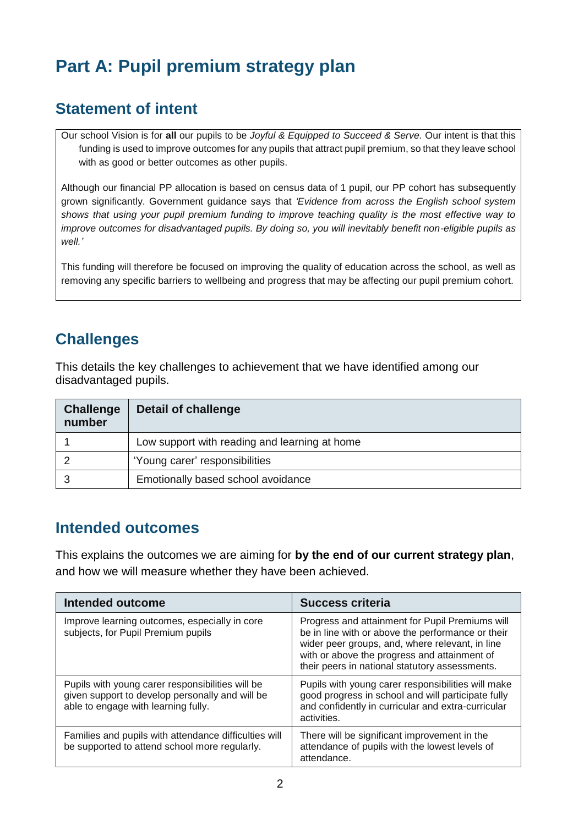# **Part A: Pupil premium strategy plan**

### **Statement of intent**

Our school Vision is for **all** our pupils to be *Joyful & Equipped to Succeed & Serve.* Our intent is that this funding is used to improve outcomes for any pupils that attract pupil premium, so that they leave school with as good or better outcomes as other pupils.

Although our financial PP allocation is based on census data of 1 pupil, our PP cohort has subsequently grown significantly. Government guidance says that *'Evidence from across the English school system shows that using your pupil premium funding to improve teaching quality is the most effective way to improve outcomes for disadvantaged pupils. By doing so, you will inevitably benefit non-eligible pupils as well.'*

This funding will therefore be focused on improving the quality of education across the school, as well as removing any specific barriers to wellbeing and progress that may be affecting our pupil premium cohort.

## **Challenges**

This details the key challenges to achievement that we have identified among our disadvantaged pupils.

| Challenge<br>number | <b>Detail of challenge</b>                    |
|---------------------|-----------------------------------------------|
|                     | Low support with reading and learning at home |
|                     | 'Young carer' responsibilities                |
|                     | Emotionally based school avoidance            |

#### **Intended outcomes**

This explains the outcomes we are aiming for **by the end of our current strategy plan**, and how we will measure whether they have been achieved.

| <b>Intended outcome</b>                                                                                                                    | <b>Success criteria</b>                                                                                                                                                                                                                                   |
|--------------------------------------------------------------------------------------------------------------------------------------------|-----------------------------------------------------------------------------------------------------------------------------------------------------------------------------------------------------------------------------------------------------------|
| Improve learning outcomes, especially in core<br>subjects, for Pupil Premium pupils                                                        | Progress and attainment for Pupil Premiums will<br>be in line with or above the performance or their<br>wider peer groups, and, where relevant, in line<br>with or above the progress and attainment of<br>their peers in national statutory assessments. |
| Pupils with young carer responsibilities will be<br>given support to develop personally and will be<br>able to engage with learning fully. | Pupils with young carer responsibilities will make<br>good progress in school and will participate fully<br>and confidently in curricular and extra-curricular<br>activities.                                                                             |
| Families and pupils with attendance difficulties will<br>be supported to attend school more regularly.                                     | There will be significant improvement in the<br>attendance of pupils with the lowest levels of<br>attendance.                                                                                                                                             |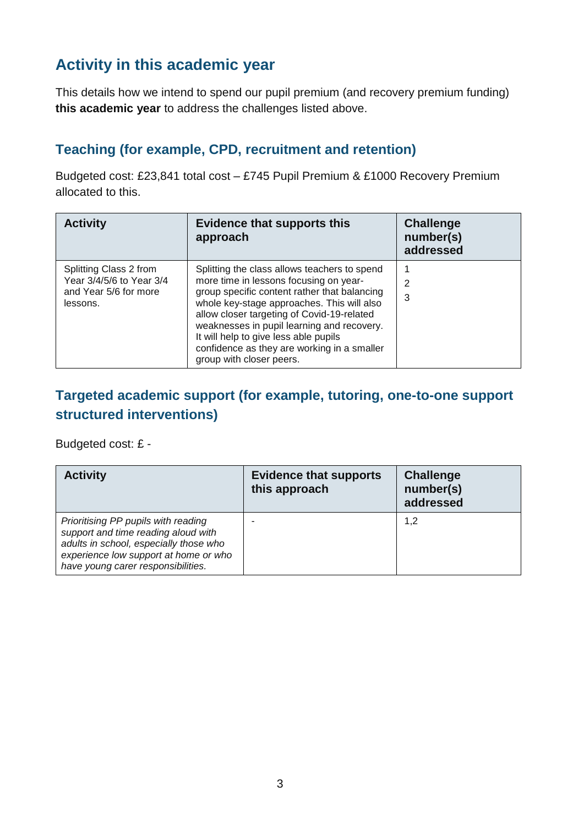## **Activity in this academic year**

This details how we intend to spend our pupil premium (and recovery premium funding) **this academic year** to address the challenges listed above.

#### **Teaching (for example, CPD, recruitment and retention)**

Budgeted cost: £23,841 total cost – £745 Pupil Premium & £1000 Recovery Premium allocated to this.

| <b>Activity</b>                                                                         | <b>Evidence that supports this</b><br>approach                                                                                                                                                                                                                                                                                                                                                       | <b>Challenge</b><br>number(s)<br>addressed |
|-----------------------------------------------------------------------------------------|------------------------------------------------------------------------------------------------------------------------------------------------------------------------------------------------------------------------------------------------------------------------------------------------------------------------------------------------------------------------------------------------------|--------------------------------------------|
| Splitting Class 2 from<br>Year 3/4/5/6 to Year 3/4<br>and Year 5/6 for more<br>lessons. | Splitting the class allows teachers to spend<br>more time in lessons focusing on year-<br>group specific content rather that balancing<br>whole key-stage approaches. This will also<br>allow closer targeting of Covid-19-related<br>weaknesses in pupil learning and recovery.<br>It will help to give less able pupils<br>confidence as they are working in a smaller<br>group with closer peers. | 2<br>3                                     |

#### **Targeted academic support (for example, tutoring, one-to-one support structured interventions)**

Budgeted cost: £ -

| <b>Activity</b>                                                                                                                                                                                     | <b>Evidence that supports</b><br>this approach | <b>Challenge</b><br>number(s)<br>addressed |
|-----------------------------------------------------------------------------------------------------------------------------------------------------------------------------------------------------|------------------------------------------------|--------------------------------------------|
| Prioritising PP pupils with reading<br>support and time reading aloud with<br>adults in school, especially those who<br>experience low support at home or who<br>have young carer responsibilities. |                                                | 1,2                                        |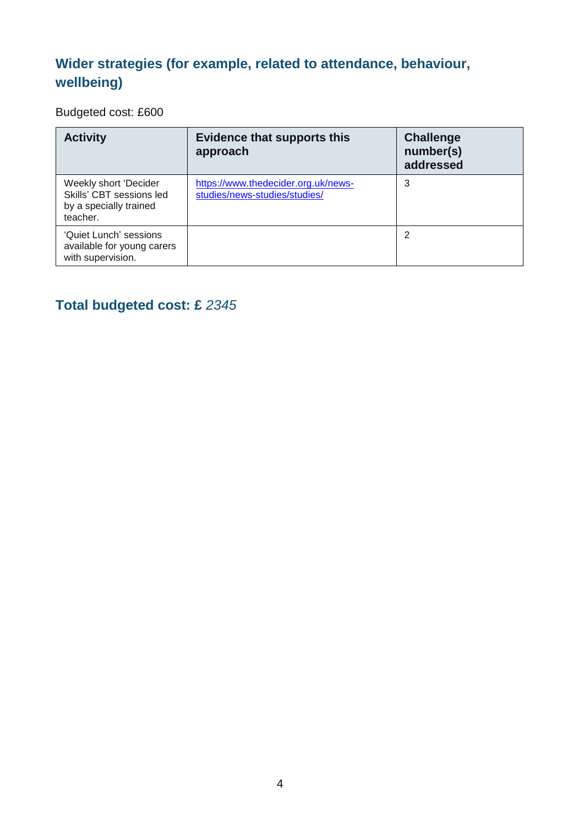## **Wider strategies (for example, related to attendance, behaviour, wellbeing)**

Budgeted cost: £600

| <b>Activity</b>                                                                         | <b>Evidence that supports this</b><br>approach                       | <b>Challenge</b><br>number(s)<br>addressed |
|-----------------------------------------------------------------------------------------|----------------------------------------------------------------------|--------------------------------------------|
| Weekly short 'Decider<br>Skills' CBT sessions led<br>by a specially trained<br>teacher. | https://www.thedecider.org.uk/news-<br>studies/news-studies/studies/ | 3                                          |
| 'Quiet Lunch' sessions<br>available for young carers<br>with supervision.               |                                                                      | 2                                          |

## **Total budgeted cost: £** *2345*